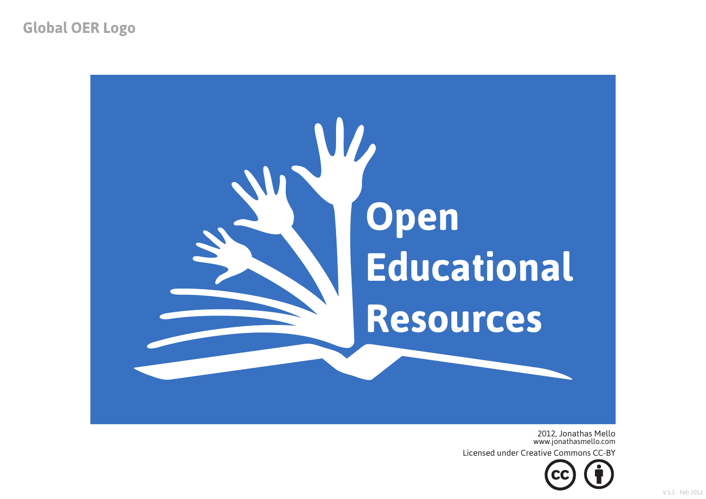**Global OER Logo**



2012, Jonathas Mello www.jonathasmello.com

Licensed under Creative Commons CC-BY

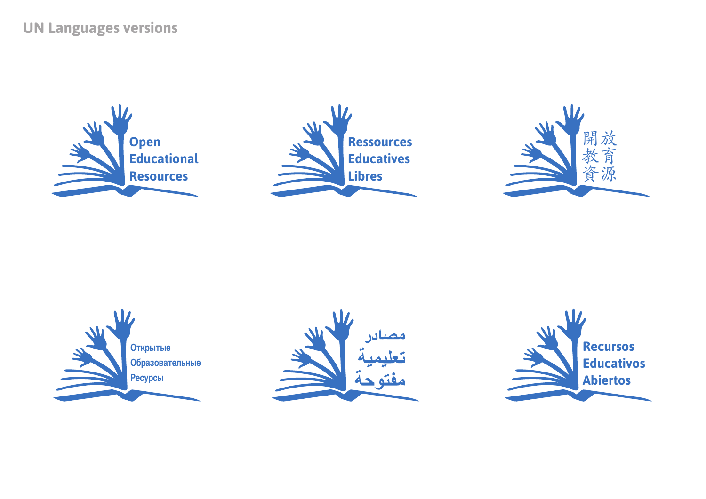## **UN Languages versions**











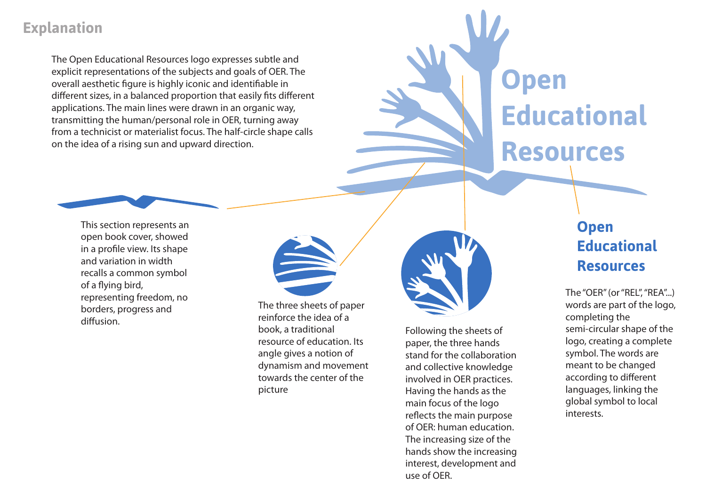### **Explanation**

The Open Educational Resources logo expresses subtle and explicit representations of the subjects and goals of OER. The overall aesthetic figure is highly iconic and identifiable in different sizes, in a balanced proportion that easily fits different applications. The main lines were drawn in an organic way, transmitting the human/personal role in OER, turning away from a technicist or materialist focus. The half-circle shape calls on the idea of a rising sun and upward direction.

# **Open Educational Resources**

This section represents an open book cover, showed in a profile view. Its shape

and variation in width recalls a common symbol of a flying bird, representing freedom, no borders, progress and diffusion.

The three sheets of paper reinforce the idea of a book, a traditional resource of education. Its angle gives a notion of dynamism and movement towards the center of the picture



Following the sheets of paper, the three hands stand for the collaboration and collective knowledge involved in OER practices. Having the hands as the main focus of the logo reflects the main purpose of OER: human education. The increasing size of the hands show the increasing interest, development and use of OER.

## **Open Educational Resources**

The "OER" (or "REL", "REA"...) words are part of the logo, completing the semi-circular shape of the logo, creating a complete symbol. The words are meant to be changed according to different languages, linking the global symbol to local interests.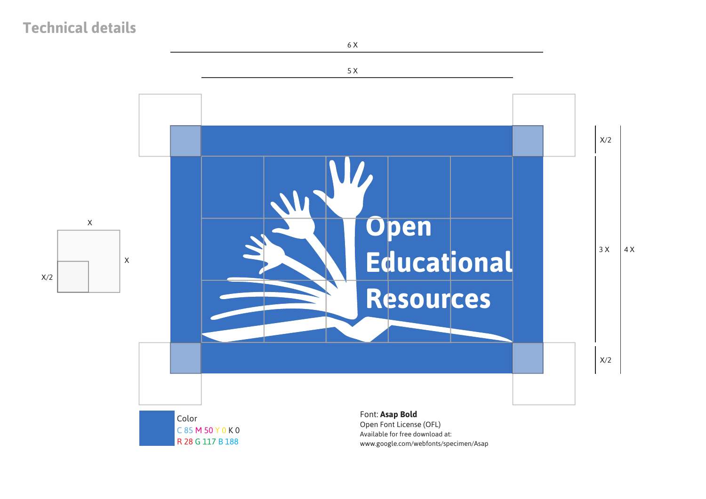## **Technical details**



6 X